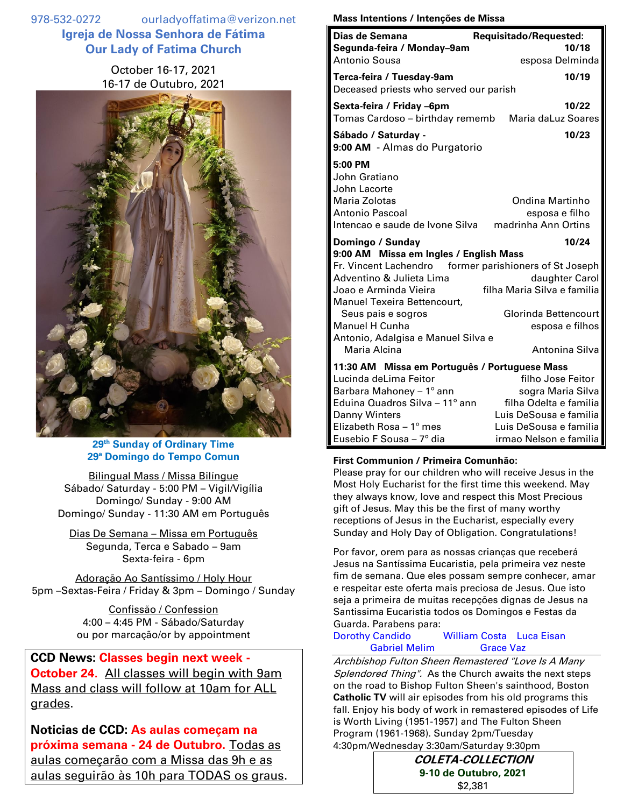978-532-0272 ourladyoffatima@verizon.net **Igreja de Nossa Senhora de Fátima Our Lady of Fatima Church**

> October 16-17, 2021 16-17 de Outubro, 2021



# **29 th Sunday of Ordinary Time 29ª Domingo do Tempo Comun**

Bilingual Mass / Missa Bilíngue Sábado/ Saturday - 5:00 PM – Vigil/Vigília Domingo/ Sunday - 9:00 AM Domingo/ Sunday - 11:30 AM em Português

Dias De Semana – Missa em Português Segunda, Terca e Sabado – 9am Sexta-feira - 6pm

Adoração Ao Santíssimo / Holy Hour 5pm –Sextas-Feira / Friday & 3pm – Domingo / Sunday

> Confissão / Confession 4:00 – 4:45 PM - Sábado/Saturday ou por marcação/or by appointment

**CCD News: Classes begin next week - October 24.** All classes will begin with 9am Mass and class will follow at 10am for ALL grades.

**Noticias de CCD: As aulas começam na próxima semana - 24 de Outubro.** Todas as aulas começarão com a Missa das 9h e as aulas seguirão às 10h para TODAS os graus.

#### **Mass Intentions / Intenções de Missa**

| Dias de Semana                                                                                                  | Requisitado/Requested:                                   |  |
|-----------------------------------------------------------------------------------------------------------------|----------------------------------------------------------|--|
| Segunda-feira / Monday-9am                                                                                      | 10/18                                                    |  |
| Antonio Sousa                                                                                                   | esposa Delminda                                          |  |
| Terca-feira / Tuesday-9am<br>Deceased priests who served our parish                                             | 10/19                                                    |  |
| Sexta-feira / Friday -6pm<br>Tomas Cardoso - birthday rememb                                                    | 10/22<br>Maria daLuz Soares                              |  |
| Sábado / Saturday -<br>9:00 AM - Almas do Purgatorio                                                            | 10/23                                                    |  |
| 5:00 PM<br>John Gratiano<br>John Lacorte<br>Maria Zolotas<br>Antonio Pascoal<br>Intencao e saude de Ivone Silva | Ondina Martinho<br>esposa e filho<br>madrinha Ann Ortins |  |
|                                                                                                                 |                                                          |  |
| Domingo / Sunday                                                                                                | 10/24                                                    |  |
| 9:00 AM Missa em Ingles / English Mass<br>Fr. Vincent Lachendro                                                 | former parishioners of St Joseph                         |  |
| Adventino & Julieta Lima                                                                                        | daughter Carol                                           |  |
| Joao e Arminda Vieira                                                                                           | filha Maria Silva e familia                              |  |
| Manuel Texeira Bettencourt,                                                                                     |                                                          |  |
| Seus pais e sogros<br><b>Manuel H Cunha</b><br>Antonio, Adalgisa e Manuel Silva e                               | Glorinda Bettencourt<br>esposa e filhos                  |  |
| Maria Alcina                                                                                                    | Antonina Silva                                           |  |
| 11:30 AM Missa em Português / Portuguese Mass                                                                   |                                                          |  |
| Lucinda deLima Feitor                                                                                           | filho Jose Feitor                                        |  |
| Barbara Mahoney - 1° ann                                                                                        | sogra Maria Silva                                        |  |
| Eduina Quadros Silva - 11° ann                                                                                  | filha Odelta e familia                                   |  |
| Danny Winters                                                                                                   | Luis DeSousa e familia                                   |  |
| Elizabeth Rosa - 1º mes                                                                                         | Luis DeSousa e familia                                   |  |
| Eusebio F Sousa - 7º dia                                                                                        | irmao Nelson e familia                                   |  |

## **First Communion / Primeira Comunhão:**

Please pray for our children who will receive Jesus in the Most Holy Eucharist for the first time this weekend. May they always know, love and respect this Most Precious gift of Jesus. May this be the first of many worthy receptions of Jesus in the Eucharist, especially every Sunday and Holy Day of Obligation. Congratulations!

Por favor, orem para as nossas crianças que receberá Jesus na Santíssima Eucaristia, pela primeira vez neste fim de semana. Que eles possam sempre conhecer, amar e respeitar este oferta mais preciosa de Jesus. Que isto seja a primeira de muitas recepções dignas de Jesus na Santissima Eucaristia todos os Domingos e Festas da Guarda. Parabens para:

### Dorothy Candido William Costa Luca Eisan Gabriel Melim Grace Vaz

Archbishop Fulton Sheen Remastered "Love Is A Many Splendored Thing". As the Church awaits the next steps on the road to Bishop Fulton Sheen's sainthood, Boston **Catholic TV** will air episodes from his old programs this fall. Enjoy his body of work in remastered episodes of Life is Worth Living (1951-1957) and The Fulton Sheen Program (1961-1968). Sunday 2pm/Tuesday 4:30pm/Wednesday 3:30am/Saturday 9:30pm

> **COLETA-COLLECTION 9-10 de Outubro, 2021** \$2,381